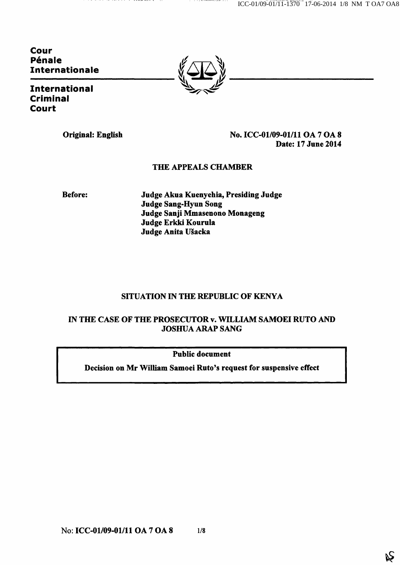ICC-01/09-01/11-1370 17-06-2014 1/8 NM T OA7 OA8

Cour Pénale Internationale

International Criminal Court



Original: English No. ICC-01/09-01/11 OA 7 OA 8 Date: 17 June 2014

## THE APPEALS CHAMBER

Before: Judge Akua Kuenyehia, Presiding Judge Judge Sang-Hyun Song Judge Sanji Mmasenono Monageng Judge Erkki Kourula Judge Anita Ušacka

# SITUATION IN THE REPUBLIC OF KENYA

# IN THE CASE OF THE PROSECUTOR v. WILLIAM SAMOEI RUTO AND JOSHUA ARAP SANG

Public document

Decision on Mr William Samoei Ruto's request for suspensive effect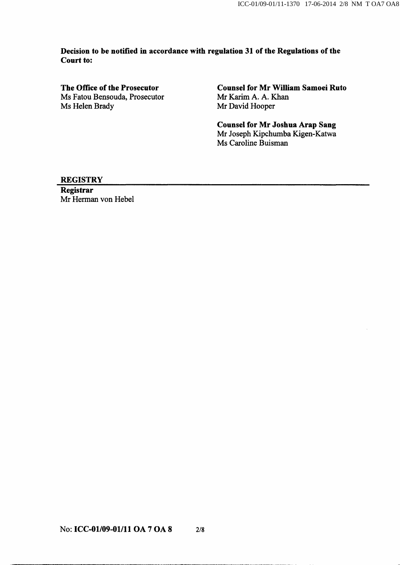Decision to be notified in accordance with regulation 31 of the Regulations of the Court to:

Ms Fatou Bensouda, Prosecutor Ms Helen Brady Mr David Hooper

The Office of the Prosecutor<br>
Ms Fatou Bensouda, Prosecutor<br>
Mr Karim A. A. Khan<br>
Mr Karim A. A. Khan

Counsel for Mr Joshua Arap Sang Mr Joseph Kipchumba Kigen-Katwa Ms Caroline Buisman

#### **REGISTRY**

Registrar Mr Herman von Hebel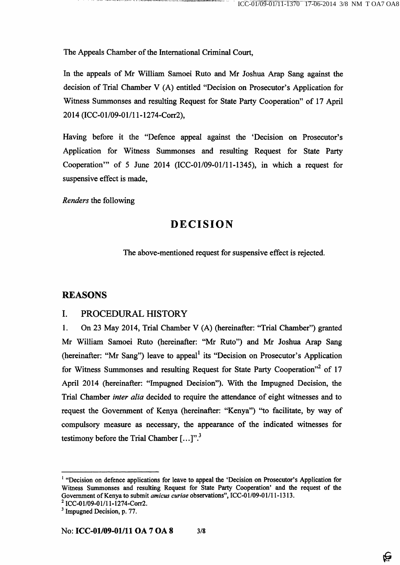The Appeals Chamber of the Intemational Criminal Court,

In the appeals of Mr William Samoei Ruto and Mr Joshua Arap Sang against the decision of Trial Chamber V (A) entitled "Decision on Prosecutor's Application for Witness Summonses and resulting Request for State Party Cooperation" of 17 April 2014 (ICC-01/09-01/1 l-1274-Corr2),

Having before it the "Defence appeal against the 'Decision on Prosecutor's Application for Witness Summonses and resulting Request for State Party Cooperation'" of 5 June 2014 (ICC-01/09-01/11-1345), in which a request for suspensive effect is made,

Renders the following

# DECISION

The above-mentioned request for suspensive effect is rejected.

### REASONS

## I. PROCEDURAL HISTORY

1. On 23 May 2014, Trial Chamber V (A) (hereinafter: "Trial Chamber") granted Mr William Samoei Ruto (hereinafter: "Mr Ruto") and Mr Joshua Arap Sang (hereinafter: "Mr Sang") leave to appeal<sup>1</sup> its "Decision on Prosecutor's Application for Witness Summonses and resulting Request for State Party Cooperation"<sup>2</sup> of 17 April 2014 (hereinafter: "Impugned Decision"). With the Impugned Decision, the Trial Chamber inter alia decided to require the attendance of eight witnesses and to request the Government of Kenya (hereinafter: "Kenya") "to facilitate, by way of compulsory measure as necessary, the appearance of the indicated witnesses for testimony before the Trial Chamber  $[...]$ .<sup>3</sup>

<sup>&</sup>lt;sup>1</sup> "Decision on defence applications for leave to appeal the 'Decision on Prosecutor's Application for Witness Summonses and resulting Request for State Party Cooperation' and the request of the Government of Kenya to submit amicus curiae observations", ICC-01/09-01/11-1313.

<sup>&</sup>lt;sup>2</sup> ICC-01/09-01/11-1274-Corr2.

 $<sup>3</sup>$  Impugned Decision, p. 77.</sup>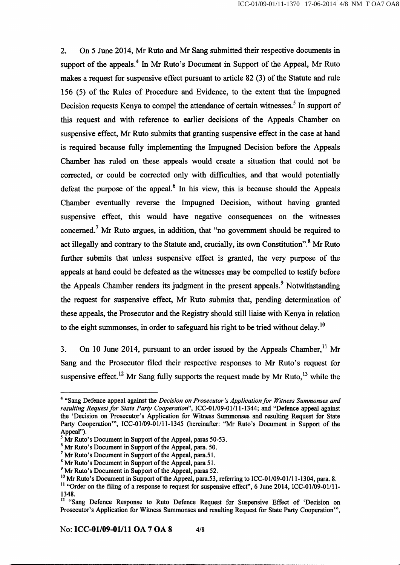2. On 5 June 2014, Mr Ruto and Mr Sang submitted their respective documents in support of the appeals. $4$  In Mr Ruto's Document in Support of the Appeal, Mr Ruto makes a request for suspensive effect pursuant to article 82 (3) of the Statute and mle 156 (5) of the Rules of Procedure and Evidence, to the extent that the Impugned Decision requests Kenya to compel the attendance of certain witnesses.<sup>5</sup> In support of this request and with reference to earlier decisions of the Appeals Chamber on suspensive effect, Mr Ruto submits that granting suspensive effect in the case at hand is required because folly implementing the Impugned Decision before the Appeals Chamber has raled on these appeals would create a situation that could not be corrected, or could be corrected only with difficulties, and that would potentially defeat the purpose of the appeal. $<sup>6</sup>$  In his view, this is because should the Appeals</sup> Chamber eventually reverse the Impugned Decision, without having granted suspensive effect, this would have negative consequences on the witnesses concerned.<sup> $7$ </sup> Mr Ruto argues, in addition, that "no government should be required to Q act inegally and contrary to the Statute and, classific, its own Constitution". Mr Ruto further submits that unless suspensive effect is granted, the very purpose of the appeals at hand could be defeated as the witnesses may be compelled to testify before appeals at hand could be defeated as the witnesses may be compelled to testify before the Appeals Chamber renders its judgment in the present appeals.^ Notwithstanding the request for suspensive effect, Mr Ruto submits that, pending determination of these appeals, the Prosecutor and the Registry should still liaise with Kenya in relation these appeals, the Prosecutor and the Registry should still liaise with Kenya in relation  $t_{\rm tot}$  is eight summonses, in order to suregular his right to be tried without delay.

3. On 10 June 2014, pursuant to an order issued by the Appeals Chamber,  $^{11}$  Mr Sang and the Prosecutor filed their respective responses to Mr Ruto's request for suspensive effect.<sup>12</sup> Mr Sang fully supports the request made by Mr Ruto,<sup>13</sup> while the

<sup>&</sup>lt;sup>4</sup> "Sang Defence appeal against the *Decision on Prosecutor's Application for Witness Summonses and* resulting Request for State Party Cooperation'', ICC-01/09-01/11-1344; and "Defence appeal against the 'Decision on Prosecutor's Application for Witness Summonses and resulting Request for State Party Cooperation'", ICC-01/09-01/11-1345 (hereinafter: "Mr Ruto's Document in Support of the Appeal").

 $^5$  Mr Ruto's Document in Support of the Appeal, paras 50-53.

<sup>&</sup>lt;sup>6</sup> Mr Ruto's Document in Support of the Appeal, para. 50.

<sup>&</sup>lt;sup>7</sup> Mr Ruto's Document in Support of the Appeal, para.51.

<sup>\*</sup> Mr Ruto's Document in Support of the Appeal, para 51.

<sup>&</sup>lt;sup>9</sup> Mr Ruto's Document in Support of the Appeal, paras 52.

<sup>&</sup>lt;sup>10</sup> Mr Ruto's Document in Support of the Appeal, para.53, referring to ICC-01/09-01/11-1304, para. 8.

 $11$  "Order on the filing of a response to request for suspensive effect", 6 June 2014, lCC-01/09-01/11-1348.

<sup>&</sup>lt;sup>12</sup> "Sang Defence Response to Ruto Defence Request for Suspensive Effect of 'Decision on Prosecutor's Application for Witness Summonses and resulting Request for State Party Cooperation'",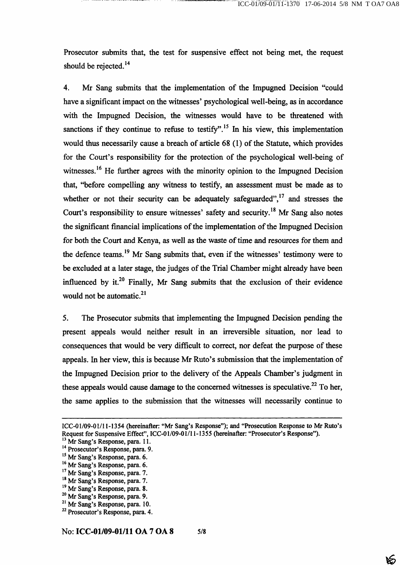১হ্য

Prosecutor submits that, the test for suspensive effect not being met, the request should be rejected. $^{14}$ 

4. Mr Sang submits that the implementation of the Impugned Decision "could have a significant impact on the witnesses' psychological well-being, as in accordance with the Impugned Decision, the witnesses would have to be threatened with sanctions if they continue to refuse to testify".<sup>15</sup> In his view, this implementation would thus necessarily cause a breach of article 68 (1) of the Statute, which provides for the Court's responsibility for the protection of the psychological well-being of witnesses.<sup>16</sup> He further agrees with the minority opinion to the Impugned Decision that, "before compelling any witness to testify, an assessment must be made as to whether or not their security can be adequately safeguarded", $^{17}$  and stresses the Court's responsibility to ensure witnesses' safety and security.<sup>18</sup> Mr Sang also notes the significant financial implications of the implementation of the Impugned Decision for both the Court and Kenya, as well as the waste of time and resources for them and the defence teams.<sup>19</sup> Mr Sang submits that, even if the witnesses' testimony were to be excluded at a later stage, the judges of the Trial Chamber might already have been influenced by it.<sup>20</sup> Finally, Mr Sang submits that the exclusion of their evidence would not be automatic. $2<sup>1</sup>$ 

5. The Prosecutor submits that implementing the Impugned Decision pending the present appeals would neither result in an irreversible situation, nor lead to consequences that would be very difficult to correct, nor defeat the purpose of these appeals. In her view, this is because Mr Ruto's submission that the implementation of the Impugned Decision prior to the delivery of the Appeals Chamber's judgment in these appeals would cause damage to the concerned witnesses is speculative.<sup>22</sup> To her, the same applies to the submission that the witnesses will necessarily continue to

ICC-01/09-01/11-1354 (hereinafter: "Mr Sang's Response"); and "Prosecution Response to Mr Ruto's Request for Suspensive Effect", ICC-01/09-01/11-1355 (hereinafter: "Prosecutor's Response").

<sup>&</sup>lt;sup>13</sup> Mr Sang's Response, para. 11.

<sup>&</sup>lt;sup>14</sup> Prosecutor's Response, para. 9.

<sup>&</sup>lt;sup>15</sup> Mr Sang's Response, para. 6.

<sup>&</sup>lt;sup>16</sup> Mr Sang's Response, para. 6.

<sup>&</sup>lt;sup>17</sup> Mr Sang's Response, para. 7.

<sup>&</sup>lt;sup>18</sup> Mr Sang's Response, para. 7.

<sup>&</sup>lt;sup>19</sup> Mr Sang's Response, para. 8.

<sup>&</sup>lt;sup>20</sup> Mr Sang's Response, para. 9.

<sup>&</sup>lt;sup>21</sup> Mr Sang's Response, para. 10. <sup>22</sup> Prosecutor's Response, para. 4.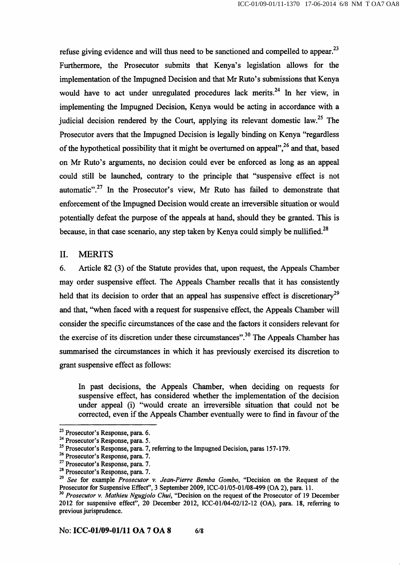refuse giving evidence and will thus need to be sanctioned and compelled to appear.<sup>23</sup> Furthermore, the Prosecutor submits that Kenya's legislation allows for the implementation of the Impugned Decision and that Mr Ruto's submissions that Kenya would have to act under unregulated procedures lack merits.<sup>24</sup> In her view, in implementing the Impugned Decision, Kenya would be acting in accordance with a judicial decision rendered by the Court, applying its relevant domestic law.<sup>25</sup> The Prosecutor avers that the Impugned Decision is legally binding on Kenya "regardless of the hypothetical possibility that it might be overturned on appeal",  $2<sup>6</sup>$  and that, based on Mr Ruto's argiunents, no decision could ever be enforced as long as an appeal could still be launched, contrary to the principle that "suspensive effect is not automatic". $27$  In the Prosecutor's view, Mr Ruto has failed to demonstrate that enforcement of the Impugned Decision would create an irreversible situation or would potentially defeat the purpose of the appeals at hand, should they be granted. This is because, in that case scenario, any step taken by Kenya could simply be nullified.<sup>28</sup>

## II. MERITS

6. Article 82 (3) of the Statute provides that, upon request, the Appeals Chamber may order suspensive effect. The Appeals Chamber recalls that it has consistently held that its decision to order that an appeal has suspensive effect is discretionary<sup>29</sup> and that, "when faced with a request for suspensive effect, the Appeals Chamber will consider the specific circumstances of the case and the factors it considers relevant for the exercise of its discretion under these circumstances".<sup>30</sup> The Appeals Chamber has summarised the circumstances in which it has previously exercised its discretion to grant suspensive effect as follows:

In past decisions, the Appeals Chamber, when deciding on requests for suspensive effect, has considered whether the implementation of the decision under appeal (i) "would create an irreversible situation that could not be corrected, even if the Appeals Chamber eventually were to find in favour of the

 $^{23}$  Prosecutor's Response, para. 6.

<sup>&</sup>lt;sup>24</sup> Prosecutor's Response, para. 5.

<sup>&</sup>lt;sup>25</sup> Prosecutor's Response, para. 7, referring to the Impugned Decision, paras 157-179.

<sup>&</sup>lt;sup>26</sup> Prosecutor's Response, para. 7.

<sup>&</sup>lt;sup>27</sup> Prosecutor's Response, para. 7.

<sup>&</sup>lt;sup>28</sup> Prosecutor's Response, para. 7.

 $^{29}$  See for example Prosecutor v. Jean-Pierre Bemba Gombo, "Decision on the Request of the Prosecutor for Suspensive Effect", 3 September 2009, ICC-01/05-01/08-499 (OA 2), para. 11.

 $^{30}$  Prosecutor v. Mathieu Ngugjolo Chui, "Decision on the request of the Prosecutor of 19 December 2012 for suspensive effect", 20 December 2012, ICC-01/04-02/12-12 (OA), para. 18, referring to previous jurisprudence.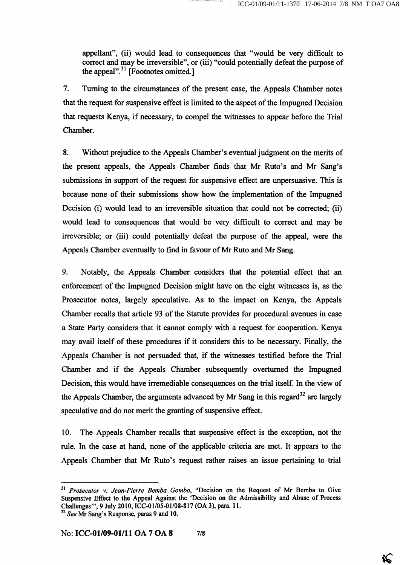«Ç

appellant", (ii) would lead to consequences that "would be very difficult to correct and may be irreversible", or (iii) "could potentially defeat the purpose of the appeal". $^{31}$  [Footnotes omitted.]

7. Turning to the circumstances of the present case, the Appeals Chamber notes that the request for suspensive effect is limited to the aspect of the Impugned Decision that requests Kenya, if necessary, to compel the witnesses to appear before the Trial Chamber.

8. Without prejudice to the Appeals Chamber's eventual judgment on the merits of the present appeals, the Appeals Chamber finds that Mr Ruto's and Mr Sang's submissions in support of the request for suspensive effect are unpersuasive. This is because none of their submissions show how the implementation of the Impugned Decision (i) would lead to an irreversible situation that could not be corrected; (ii) would lead to consequences that would be very difficult to correct and may be irreversible; or (iii) could potentially defeat the purpose of the appeal, were the Appeals Chamber eventually to find in favour of Mr Ruto and Mr Sang.

9. Notably, the Appeals Chamber considers that the potential effect that an enforcement of the Impugned Decision might have on the eight witnesses is, as the Prosecutor notes, largely speculative. As to the impact on Kenya, the Appeals Chamber recalls that article 93 of the Statute provides for procedural avenues in case a State Party considers that it carmot comply with a request for cooperation. Kenya may avail itself of these procedures if it considers this to be necessary. Finally, the Appeals Chamber is not persuaded that, if the witnesses testified before the Trial Chamber and if the Appeals Chamber subsequently overturned the Impugned Decision, this would have irremediable consequences on the trial itself. In the view of the Appeals Chamber, the arguments advanced by Mr Sang in this regard $^{32}$  are largely speculative and do not merit the granting of suspensive effect.

10. The Appeals Chamber recalls that suspensive effect is the exception, not the mle. In the case at hand, none of the applicable criteria are met. It appears to the Appeals Chamber that Mr Ruto's request rather raises an issue pertaining to trial

<sup>&</sup>lt;sup>31</sup> Prosecutor v. Jean-Pierre Bemba Gombo, "Decision on the Request of Mr Bemba to Give Suspensive Effect to the Appeal Against the 'Decision on the Admissibility and Abuse of Process Challenges'", 9 July 2010, ICC-01/05-01/08-817 (OA 3), para. 11.  $32$  See Mr Sang's Response, paras 9 and 10.